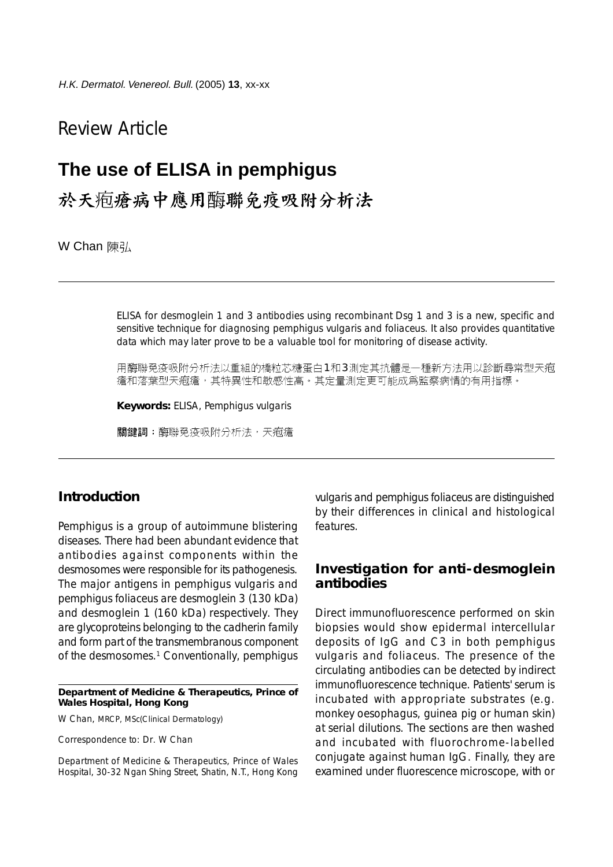## Review Article

# **The use of ELISA in pemphigus**

於天疱瘡病中應用臨聯免疫吸附分析法

W Chan 陳弘

ELISA for desmoglein 1 and 3 antibodies using recombinant Dsg 1 and 3 is a new, specific and sensitive technique for diagnosing pemphigus vulgaris and foliaceus. It also provides quantitative data which may later prove to be a valuable tool for monitoring of disease activity.

用酶聯免疫吸附分析法以重組的橋粒芯糖蛋白1和3測定其抗體是一種新方法用以診斷尋常型天疱 瘡和落葉型天疱瘡,其特異性和敏感性高。其定量測定更可能成爲監察病情的有用指標。

**Keywords:** ELISA, Pemphigus vulgaris

關鍵詞:酶聯免疫吸附分析法,天疱瘡

#### **Introduction**

Pemphigus is a group of autoimmune blistering diseases. There had been abundant evidence that antibodies against components within the desmosomes were responsible for its pathogenesis. The major antigens in pemphigus vulgaris and pemphigus foliaceus are desmoglein 3 (130 kDa) and desmoglein 1 (160 kDa) respectively. They are glycoproteins belonging to the cadherin family and form part of the transmembranous component of the desmosomes.<sup>1</sup> Conventionally, pemphigus

#### **Department of Medicine & Therapeutics, Prince of Wales Hospital, Hong Kong**

W Chan, MRCP, MSc(Clinical Dermatology)

Correspondence to: Dr. W Chan

Department of Medicine & Therapeutics, Prince of Wales Hospital, 30-32 Ngan Shing Street, Shatin, N.T., Hong Kong

vulgaris and pemphigus foliaceus are distinguished by their differences in clinical and histological features.

#### **Investigation for anti-desmoglein antibodies**

Direct immunofluorescence performed on skin biopsies would show epidermal intercellular deposits of IgG and C3 in both pemphigus vulgaris and foliaceus. The presence of the circulating antibodies can be detected by indirect immunofluorescence technique. Patients' serum is incubated with appropriate substrates (e.g. monkey oesophagus, guinea pig or human skin) at serial dilutions. The sections are then washed and incubated with fluorochrome-labelled conjugate against human IgG. Finally, they are examined under fluorescence microscope, with or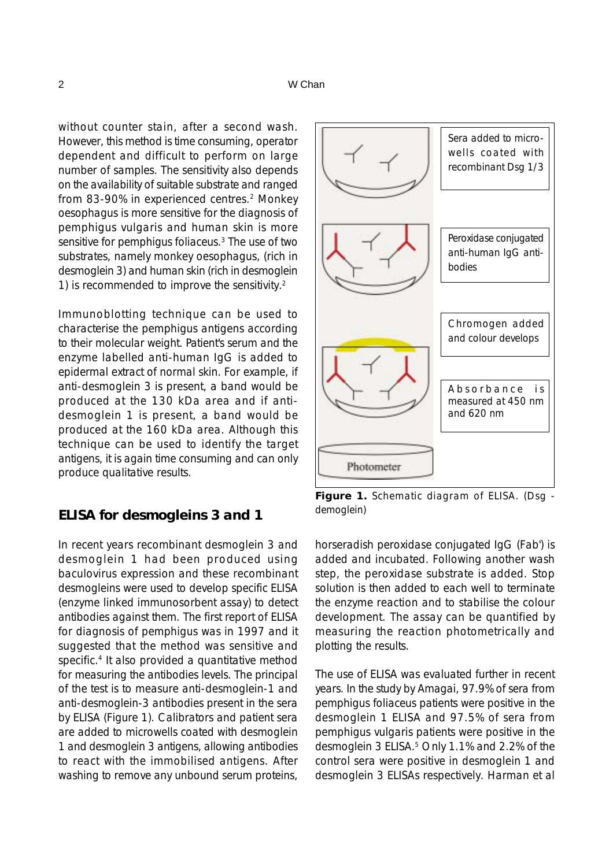without counter stain, after a second wash. However, this method is time consuming, operator dependent and difficult to perform on large number of samples. The sensitivity also depends on the availability of suitable substrate and ranged from 83-90% in experienced centres.2 Monkey oesophagus is more sensitive for the diagnosis of pemphigus vulgaris and human skin is more sensitive for pemphigus foliaceus.<sup>3</sup> The use of two substrates, namely monkey oesophagus, (rich in desmoglein 3) and human skin (rich in desmoglein 1) is recommended to improve the sensitivity.2

Immunoblotting technique can be used to characterise the pemphigus antigens according to their molecular weight. Patient's serum and the enzyme labelled anti-human IgG is added to epidermal extract of normal skin. For example, if anti-desmoglein 3 is present, a band would be produced at the 130 kDa area and if antidesmoglein 1 is present, a band would be produced at the 160 kDa area. Although this technique can be used to identify the target antigens, it is again time consuming and can only produce qualitative results.

### **ELISA for desmogleins 3 and 1**

In recent years recombinant desmoglein 3 and desmoglein 1 had been produced using baculovirus expression and these recombinant desmogleins were used to develop specific ELISA (enzyme linked immunosorbent assay) to detect antibodies against them. The first report of ELISA for diagnosis of pemphigus was in 1997 and it suggested that the method was sensitive and specific.<sup>4</sup> It also provided a quantitative method for measuring the antibodies levels. The principal of the test is to measure anti-desmoglein-1 and anti-desmoglein-3 antibodies present in the sera by ELISA (Figure 1). Calibrators and patient sera are added to microwells coated with desmoglein 1 and desmoglein 3 antigens, allowing antibodies to react with the immobilised antigens. After washing to remove any unbound serum proteins,



**Figure 1.** Schematic diagram of ELISA. (Dsg demoglein)

horseradish peroxidase conjugated IgG (Fab') is added and incubated. Following another wash step, the peroxidase substrate is added. Stop solution is then added to each well to terminate the enzyme reaction and to stabilise the colour development. The assay can be quantified by measuring the reaction photometrically and plotting the results.

The use of ELISA was evaluated further in recent years. In the study by Amagai, 97.9% of sera from pemphigus foliaceus patients were positive in the desmoglein 1 ELISA and 97.5% of sera from pemphigus vulgaris patients were positive in the desmoglein 3 ELISA.5 Only 1.1% and 2.2% of the control sera were positive in desmoglein 1 and desmoglein 3 ELISAs respectively. Harman et al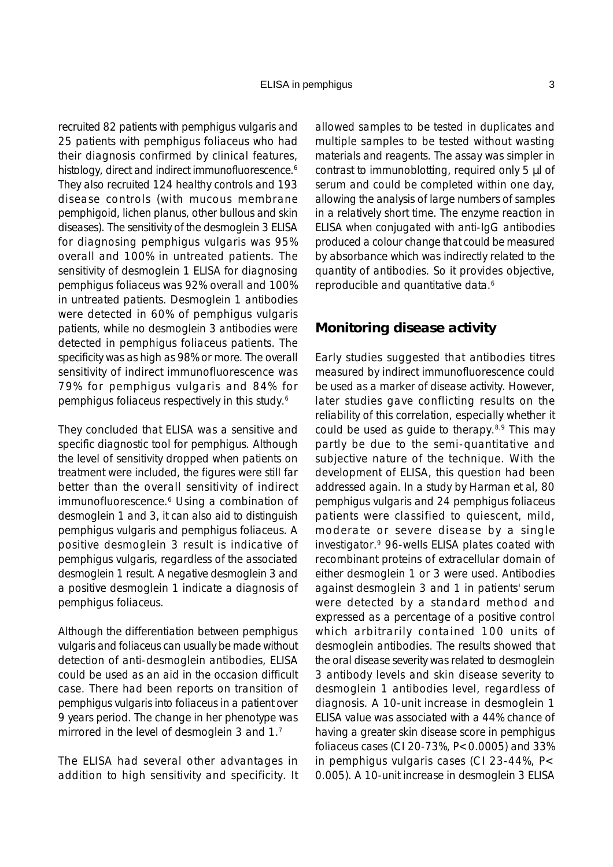recruited 82 patients with pemphigus vulgaris and 25 patients with pemphigus foliaceus who had their diagnosis confirmed by clinical features, histology, direct and indirect immunofluorescence.<sup>6</sup> They also recruited 124 healthy controls and 193 disease controls (with mucous membrane pemphigoid, lichen planus, other bullous and skin diseases). The sensitivity of the desmoglein 3 ELISA for diagnosing pemphigus vulgaris was 95% overall and 100% in untreated patients. The sensitivity of desmoglein 1 ELISA for diagnosing pemphigus foliaceus was 92% overall and 100% in untreated patients. Desmoglein 1 antibodies were detected in 60% of pemphigus vulgaris patients, while no desmoglein 3 antibodies were detected in pemphigus foliaceus patients. The specificity was as high as 98% or more. The overall sensitivity of indirect immunofluorescence was 79% for pemphigus vulgaris and 84% for pemphigus foliaceus respectively in this study.6

They concluded that ELISA was a sensitive and specific diagnostic tool for pemphigus. Although the level of sensitivity dropped when patients on treatment were included, the figures were still far better than the overall sensitivity of indirect immunofluorescence.<sup>6</sup> Using a combination of desmoglein 1 and 3, it can also aid to distinguish pemphigus vulgaris and pemphigus foliaceus. A positive desmoglein 3 result is indicative of pemphigus vulgaris, regardless of the associated desmoglein 1 result. A negative desmoglein 3 and a positive desmoglein 1 indicate a diagnosis of pemphigus foliaceus.

Although the differentiation between pemphigus vulgaris and foliaceus can usually be made without detection of anti-desmoglein antibodies, ELISA could be used as an aid in the occasion difficult case. There had been reports on transition of pemphigus vulgaris into foliaceus in a patient over 9 years period. The change in her phenotype was mirrored in the level of desmoglein 3 and 1.7

The ELISA had several other advantages in addition to high sensitivity and specificity. It

allowed samples to be tested in duplicates and multiple samples to be tested without wasting materials and reagents. The assay was simpler in contrast to immunoblotting, required only 5 µl of serum and could be completed within one day, allowing the analysis of large numbers of samples in a relatively short time. The enzyme reaction in ELISA when conjugated with anti-IgG antibodies produced a colour change that could be measured by absorbance which was indirectly related to the quantity of antibodies. So it provides objective, reproducible and quantitative data.<sup>6</sup>

#### **Monitoring disease activity**

Early studies suggested that antibodies titres measured by indirect immunofluorescence could be used as a marker of disease activity. However, later studies gave conflicting results on the reliability of this correlation, especially whether it could be used as quide to the rapy.  $8.9$  This may partly be due to the semi-quantitative and subjective nature of the technique. With the development of ELISA, this question had been addressed again. In a study by Harman et al, 80 pemphigus vulgaris and 24 pemphigus foliaceus patients were classified to quiescent, mild, moderate or severe disease by a single investigator.9 96-wells ELISA plates coated with recombinant proteins of extracellular domain of either desmoglein 1 or 3 were used. Antibodies against desmoglein 3 and 1 in patients' serum were detected by a standard method and expressed as a percentage of a positive control which arbitrarily contained 100 units of desmoglein antibodies. The results showed that the oral disease severity was related to desmoglein 3 antibody levels and skin disease severity to desmoglein 1 antibodies level, regardless of diagnosis. A 10-unit increase in desmoglein 1 ELISA value was associated with a 44% chance of having a greater skin disease score in pemphigus foliaceus cases (CI 20-73%, P<0.0005) and 33% in pemphigus vulgaris cases (CI 23-44%, P< 0.005). A 10-unit increase in desmoglein 3 ELISA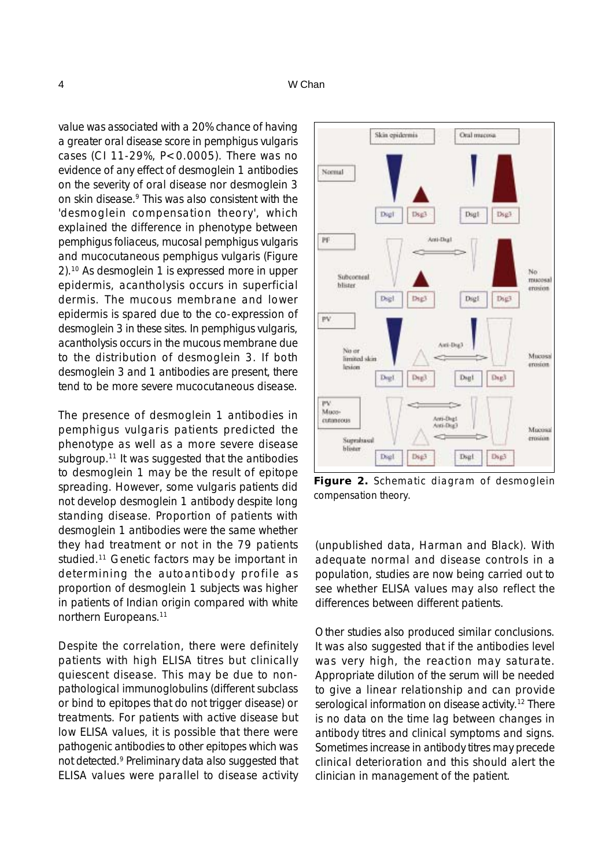value was associated with a 20% chance of having a greater oral disease score in pemphigus vulgaris cases (CI 11-29%, P<0.0005). There was no evidence of any effect of desmoglein 1 antibodies on the severity of oral disease nor desmoglein 3 on skin disease.9 This was also consistent with the 'desmoglein compensation theory', which explained the difference in phenotype between pemphigus foliaceus, mucosal pemphigus vulgaris and mucocutaneous pemphigus vulgaris (Figure 2).10 As desmoglein 1 is expressed more in upper epidermis, acantholysis occurs in superficial dermis. The mucous membrane and lower epidermis is spared due to the co-expression of desmoglein 3 in these sites. In pemphigus vulgaris, acantholysis occurs in the mucous membrane due to the distribution of desmoglein 3. If both desmoglein 3 and 1 antibodies are present, there tend to be more severe mucocutaneous disease.

The presence of desmoglein 1 antibodies in pemphigus vulgaris patients predicted the phenotype as well as a more severe disease subgroup.<sup>11</sup> It was suggested that the antibodies to desmoglein 1 may be the result of epitope spreading. However, some vulgaris patients did not develop desmoglein 1 antibody despite long standing disease. Proportion of patients with desmoglein 1 antibodies were the same whether they had treatment or not in the 79 patients studied.<sup>11</sup> Genetic factors may be important in determining the autoantibody profile as proportion of desmoglein 1 subjects was higher in patients of Indian origin compared with white northern Europeans.11

Despite the correlation, there were definitely patients with high ELISA titres but clinically quiescent disease. This may be due to nonpathological immunoglobulins (different subclass or bind to epitopes that do not trigger disease) or treatments. For patients with active disease but low ELISA values, it is possible that there were pathogenic antibodies to other epitopes which was not detected.<sup>9</sup> Preliminary data also suggested that ELISA values were parallel to disease activity



**Figure 2.** Schematic diagram of desmoglein compensation theory.

(unpublished data, Harman and Black). With adequate normal and disease controls in a population, studies are now being carried out to see whether ELISA values may also reflect the differences between different patients.

Other studies also produced similar conclusions. It was also suggested that if the antibodies level was very high, the reaction may saturate. Appropriate dilution of the serum will be needed to give a linear relationship and can provide serological information on disease activity.<sup>12</sup> There is no data on the time lag between changes in antibody titres and clinical symptoms and signs. Sometimes increase in antibody titres may precede clinical deterioration and this should alert the clinician in management of the patient.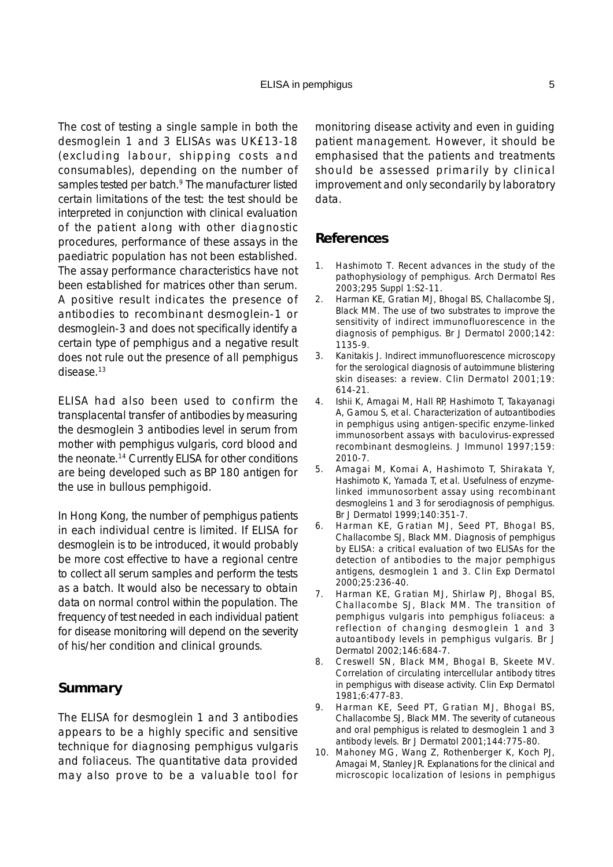The cost of testing a single sample in both the desmoglein 1 and 3 ELISAs was UK£13-18 (excluding labour, shipping costs and consumables), depending on the number of samples tested per batch.<sup>9</sup> The manufacturer listed certain limitations of the test: the test should be interpreted in conjunction with clinical evaluation of the patient along with other diagnostic procedures, performance of these assays in the paediatric population has not been established. The assay performance characteristics have not been established for matrices other than serum. A positive result indicates the presence of antibodies to recombinant desmoglein-1 or desmoglein-3 and does not specifically identify a certain type of pemphigus and a negative result does not rule out the presence of all pemphigus disease.13

ELISA had also been used to confirm the transplacental transfer of antibodies by measuring the desmoglein 3 antibodies level in serum from mother with pemphigus vulgaris, cord blood and the neonate.14 Currently ELISA for other conditions are being developed such as BP 180 antigen for the use in bullous pemphigoid.

In Hong Kong, the number of pemphigus patients in each individual centre is limited. If ELISA for desmoglein is to be introduced, it would probably be more cost effective to have a regional centre to collect all serum samples and perform the tests as a batch. It would also be necessary to obtain data on normal control within the population. The frequency of test needed in each individual patient for disease monitoring will depend on the severity of his/her condition and clinical grounds.

#### **Summary**

The ELISA for desmoglein 1 and 3 antibodies appears to be a highly specific and sensitive technique for diagnosing pemphigus vulgaris and foliaceus. The quantitative data provided may also prove to be a valuable tool for

monitoring disease activity and even in guiding patient management. However, it should be emphasised that the patients and treatments should be assessed primarily by clinical improvement and only secondarily by laboratory data.

#### **References**

- 1. Hashimoto T. Recent advances in the study of the pathophysiology of pemphigus. Arch Dermatol Res 2003;295 Suppl 1:S2-11.
- 2. Harman KE, Gratian MJ, Bhogal BS, Challacombe SJ, Black MM. The use of two substrates to improve the sensitivity of indirect immunofluorescence in the diagnosis of pemphigus. Br J Dermatol 2000;142: 1135-9.
- 3. Kanitakis J. Indirect immunofluorescence microscopy for the serological diagnosis of autoimmune blistering skin diseases: a review. Clin Dermatol 2001;19: 614-21.
- 4. Ishii K, Amagai M, Hall RP, Hashimoto T, Takayanagi A, Gamou S, et al. Characterization of autoantibodies in pemphigus using antigen-specific enzyme-linked immunosorbent assays with baculovirus-expressed recombinant desmogleins. J Immunol 1997;159: 2010-7.
- 5. Amagai M, Komai A, Hashimoto T, Shirakata Y, Hashimoto K, Yamada T, et al. Usefulness of enzymelinked immunosorbent assay using recombinant desmogleins 1 and 3 for serodiagnosis of pemphigus. Br J Dermatol 1999;140:351-7.
- 6. Harman KE, Gratian MJ, Seed PT, Bhogal BS, Challacombe SJ, Black MM. Diagnosis of pemphigus by ELISA: a critical evaluation of two ELISAs for the detection of antibodies to the major pemphigus antigens, desmoglein 1 and 3. Clin Exp Dermatol 2000;25:236-40.
- 7. Harman KE, Gratian MJ, Shirlaw PJ, Bhogal BS, Challacombe SJ, Black MM. The transition of pemphigus vulgaris into pemphigus foliaceus: a reflection of changing desmoglein 1 and 3 autoantibody levels in pemphigus vulgaris. Br J Dermatol 2002;146:684-7.
- 8. Creswell SN, Black MM, Bhogal B, Skeete MV. Correlation of circulating intercellular antibody titres in pemphigus with disease activity. Clin Exp Dermatol 1981;6:477-83.
- 9. Harman KE, Seed PT, Gratian MJ, Bhogal BS, Challacombe SJ, Black MM. The severity of cutaneous and oral pemphigus is related to desmoglein 1 and 3 antibody levels. Br J Dermatol 2001;144:775-80.
- 10. Mahoney MG, Wang Z, Rothenberger K, Koch PJ, Amagai M, Stanley JR. Explanations for the clinical and microscopic localization of lesions in pemphigus